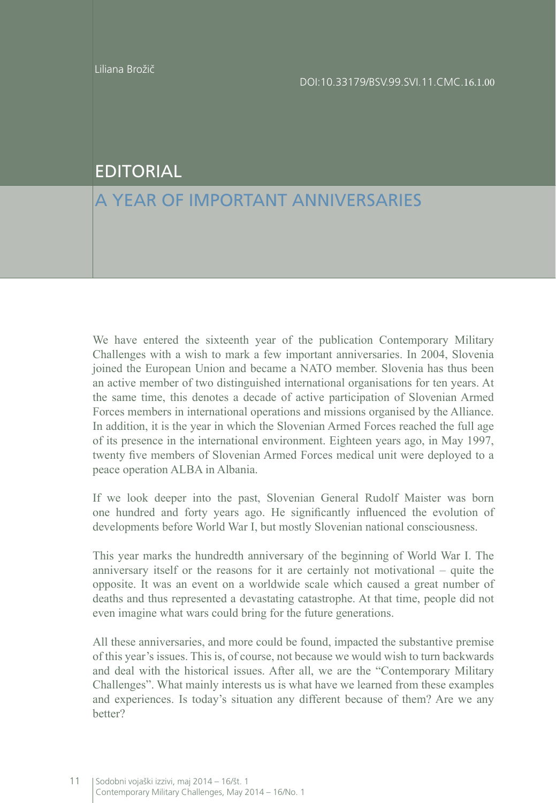## EDITORIAL

## A YEAR OF IMPORTANT ANNIVERSARIES

We have entered the sixteenth year of the publication Contemporary Military Challenges with a wish to mark a few important anniversaries. In 2004, Slovenia joined the European Union and became a NATO member. Slovenia has thus been an active member of two distinguished international organisations for ten years. At the same time, this denotes a decade of active participation of Slovenian Armed Forces members in international operations and missions organised by the Alliance. In addition, it is the year in which the Slovenian Armed Forces reached the full age of its presence in the international environment. Eighteen years ago, in May 1997, twenty five members of Slovenian Armed Forces medical unit were deployed to a peace operation ALBA in Albania.

If we look deeper into the past, Slovenian General Rudolf Maister was born one hundred and forty years ago. He significantly influenced the evolution of developments before World War I, but mostly Slovenian national consciousness.

This year marks the hundredth anniversary of the beginning of World War I. The anniversary itself or the reasons for it are certainly not motivational – quite the opposite. It was an event on a worldwide scale which caused a great number of deaths and thus represented a devastating catastrophe. At that time, people did not even imagine what wars could bring for the future generations.

All these anniversaries, and more could be found, impacted the substantive premise of this year's issues. This is, of course, not because we would wish to turn backwards and deal with the historical issues. After all, we are the "Contemporary Military Challenges". What mainly interests us is what have we learned from these examples and experiences. Is today's situation any different because of them? Are we any better?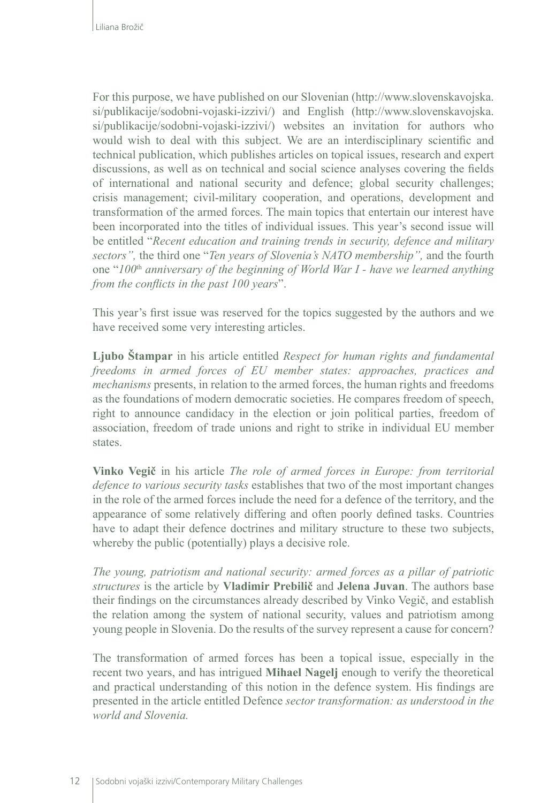For this purpose, we have published on our Slovenian ([http://www.slovenskavojska.](http://www.slovenskavojska.si/publikacije/sodobni-vojaski-izzivi/) [si/publikacije/sodobni-vojaski-izzivi/\)](http://www.slovenskavojska.si/publikacije/sodobni-vojaski-izzivi/) and English ([http://www.slovenskavojska.](http://www.slovenskavojska.si/publikacije/sodobni-vojaski-izzivi/) [si/publikacije/sodobni-vojaski-izzivi/\)](http://www.slovenskavojska.si/publikacije/sodobni-vojaski-izzivi/) websites an invitation for authors who would wish to deal with this subject. We are an interdisciplinary scientific and technical publication, which publishes articles on topical issues, research and expert discussions, as well as on technical and social science analyses covering the fields of international and national security and defence; global security challenges; crisis management; civil-military cooperation, and operations, development and transformation of the armed forces. The main topics that entertain our interest have been incorporated into the titles of individual issues. This year's second issue will be entitled "*Recent education and training trends in security, defence and military sectors",* the third one "*Ten years of Slovenia's NATO membership",* and the fourth one "*100*th *anniversary of the beginning of World War I - have we learned anything from the conflicts in the past 100 years*".

This year's first issue was reserved for the topics suggested by the authors and we have received some very interesting articles.

**Ljubo Štampar** in his article entitled *Respect for human rights and fundamental freedoms in armed forces of EU member states: approaches, practices and mechanisms* presents, in relation to the armed forces, the human rights and freedoms as the foundations of modern democratic societies. He compares freedom of speech, right to announce candidacy in the election or join political parties, freedom of association, freedom of trade unions and right to strike in individual EU member **states** 

**Vinko Vegič** in his article *The role of armed forces in Europe: from territorial defence to various security tasks* establishes that two of the most important changes in the role of the armed forces include the need for a defence of the territory, and the appearance of some relatively differing and often poorly defined tasks. Countries have to adapt their defence doctrines and military structure to these two subjects, whereby the public (potentially) plays a decisive role.

*The young, patriotism and national security: armed forces as a pillar of patriotic structures* is the article by **Vladimir Prebilič** and **Jelena Juvan**. The authors base their findings on the circumstances already described by Vinko Vegič, and establish the relation among the system of national security, values and patriotism among young people in Slovenia. Do the results of the survey represent a cause for concern?

The transformation of armed forces has been a topical issue, especially in the recent two years, and has intrigued **Mihael Nagelj** enough to verify the theoretical and practical understanding of this notion in the defence system. His findings are presented in the article entitled Defence *sector transformation: as understood in the world and Slovenia.*